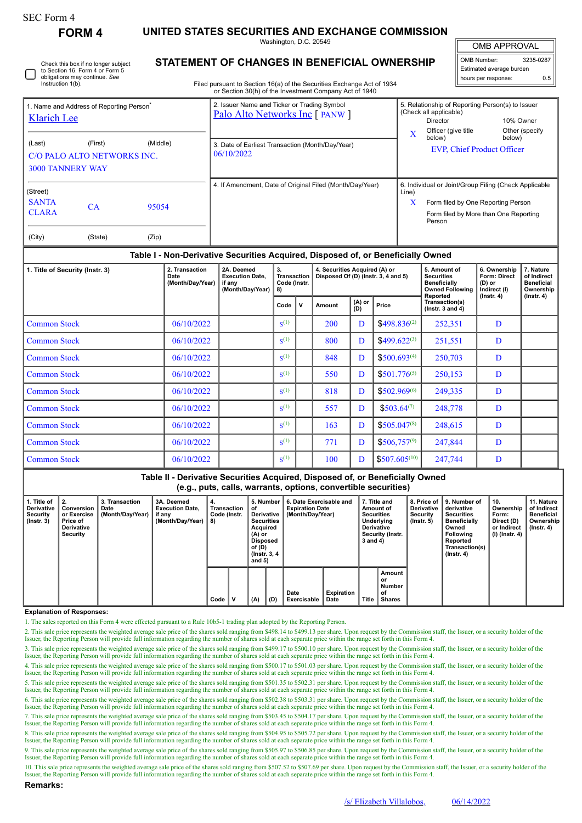| SEC Form 4 |
|------------|
|------------|

**FORM 4 UNITED STATES SECURITIES AND EXCHANGE COMMISSION**

Washington, D.C. 20549

OMB APPROVAL

Ш

|                          | OMB Number:         | 3235-0287 |  |  |  |  |  |  |  |
|--------------------------|---------------------|-----------|--|--|--|--|--|--|--|
| Estimated average burden |                     |           |  |  |  |  |  |  |  |
|                          | hours per response: | 0.5       |  |  |  |  |  |  |  |

| ◡ | Check this box if no longer subject<br>to Section 16. Form 4 or Form 5<br>obligations may continue. See<br>Instruction 1(b). |
|---|------------------------------------------------------------------------------------------------------------------------------|
|---|------------------------------------------------------------------------------------------------------------------------------|

# **STATEMENT OF CHANGES IN BENEFICIAL OWNERSHIP**

Filed pursuant to Section 16(a) of the Securities Exchange Act of 1934 or Section 30(h) of the Investment Company Act of 1940

|                                                    |                                                      |                | or occuoir both) or the investment company Act or 1940.                        |                                                                                                                                                              |
|----------------------------------------------------|------------------------------------------------------|----------------|--------------------------------------------------------------------------------|--------------------------------------------------------------------------------------------------------------------------------------------------------------|
| Klarich Lee                                        | 1. Name and Address of Reporting Person <sup>®</sup> |                | 2. Issuer Name and Ticker or Trading Symbol<br>Palo Alto Networks Inc [ PANW ] | 5. Relationship of Reporting Person(s) to Issuer<br>(Check all applicable)<br>10% Owner<br><b>Director</b>                                                   |
| (Last)<br><b>3000 TANNERY WAY</b>                  | (First)<br>C/O PALO ALTO NETWORKS INC.               | (Middle)       | 3. Date of Earliest Transaction (Month/Day/Year)<br>06/10/2022                 | Other (specify<br>Officer (give title)<br>$\mathbf x$<br>below)<br>below)<br><b>EVP, Chief Product Officer</b>                                               |
| (Street)<br><b>SANTA</b><br><b>CLARA</b><br>(City) | <b>CA</b><br>(State)                                 | 95054<br>(Zip) | 4. If Amendment, Date of Original Filed (Month/Day/Year)                       | 6. Individual or Joint/Group Filing (Check Applicable<br>Line)<br>X<br>Form filed by One Reporting Person<br>Form filed by More than One Reporting<br>Person |

## **Table I - Non-Derivative Securities Acquired, Disposed of, or Beneficially Owned**

| 1. Title of Security (Instr. 3) | 2. Transaction<br>Date<br>(Month/Day/Year) | 2A. Deemed<br><b>Execution Date.</b><br>if any<br>(Month/Day/Year) | 3.<br><b>Transaction</b><br>Code (Instr.<br>8) |   | 4. Securities Acquired (A) or<br>Disposed Of (D) (lnstr. 3, 4 and 5) |                   | 5. Amount of<br><b>Securities</b><br><b>Beneficially</b><br><b>Owned Following</b><br>Reported | 6. Ownership<br>Form: Direct<br>$(D)$ or<br>Indirect (I)<br>$($ lnstr. 4 $)$ | 7. Nature<br>of Indirect<br><b>Beneficial</b><br>Ownership<br>$($ lnstr. 4 $)$ |  |
|---------------------------------|--------------------------------------------|--------------------------------------------------------------------|------------------------------------------------|---|----------------------------------------------------------------------|-------------------|------------------------------------------------------------------------------------------------|------------------------------------------------------------------------------|--------------------------------------------------------------------------------|--|
|                                 |                                            |                                                                    | Code                                           | V | Amount                                                               | $(A)$ or<br>$(B)$ | Price                                                                                          | Transaction(s)<br>( $lnstr. 3 and 4$ )                                       |                                                                                |  |
| <b>Common Stock</b>             | 06/10/2022                                 |                                                                    | $S^{(1)}$                                      |   | 200                                                                  | D                 | $$498.836^{(2)}$$                                                                              | 252,351                                                                      | D                                                                              |  |
| <b>Common Stock</b>             | 06/10/2022                                 |                                                                    | $S^{(1)}$                                      |   | 800                                                                  | D                 | $$499.622^{(3)}$$                                                                              | 251,551                                                                      | D                                                                              |  |
| <b>Common Stock</b>             | 06/10/2022                                 |                                                                    | $S^{(1)}$                                      |   | 848                                                                  | D                 | $$500.693^{(4)}$$                                                                              | 250,703                                                                      | D                                                                              |  |
| <b>Common Stock</b>             | 06/10/2022                                 |                                                                    | $S^{(1)}$                                      |   | 550                                                                  | D                 | $$501.776^{(5)}$                                                                               | 250,153                                                                      | D                                                                              |  |
| <b>Common Stock</b>             | 06/10/2022                                 |                                                                    | $S^{(1)}$                                      |   | 818                                                                  | D                 | $$502.969^{(6)}$                                                                               | 249,335                                                                      | D                                                                              |  |
| <b>Common Stock</b>             | 06/10/2022                                 |                                                                    | $S^{(1)}$                                      |   | 557                                                                  | D                 | $$503.64^{(7)}$$                                                                               | 248,778                                                                      | D                                                                              |  |
| <b>Common Stock</b>             | 06/10/2022                                 |                                                                    | $S^{(1)}$                                      |   | 163                                                                  | D                 | $$505.047^{(8)}$                                                                               | 248,615                                                                      | D                                                                              |  |
| <b>Common Stock</b>             | 06/10/2022                                 |                                                                    | $S^{(1)}$                                      |   | 771                                                                  | D                 | $$506,757^{(9)}$                                                                               | 247,844                                                                      | D                                                                              |  |
| <b>Common Stock</b>             | 06/10/2022                                 |                                                                    | $S^{(1)}$                                      |   | 100                                                                  | D                 | $$507,605^{(10)}$                                                                              | 247,744                                                                      | D                                                                              |  |

### **Table II - Derivative Securities Acquired, Disposed of, or Beneficially Owned (e.g., puts, calls, warrants, options, convertible securities)**

| 1. Title of<br>Derivative<br>Security<br>$($ lnstr. 3 $)$ | 2.<br>Conversion<br>or Exercise<br>Price of<br><b>Derivative</b><br>Security | 3. Transaction<br>Date<br>(Month/Day/Year) | 3A. Deemed<br><b>Execution Date.</b><br>if any<br>(Month/Day/Year) | 4.<br>Transaction<br>Code (Instr.<br>8) |  | 5. Number<br>οf<br>Derivative<br><b>Securities</b><br>Acquired<br>$(A)$ or<br><b>Disposed</b><br>of (D)<br>(Instr. 3, 4)<br>and $5)$ |             | 6. Date Exercisable and<br><b>Expiration Date</b><br>(Month/Dav/Year) |     | 7. Title and<br>Amount of<br><b>Securities</b><br>Underlying<br><b>Derivative</b><br>Security (Instr.<br>3 and 4) |                           | <b>Derivative</b><br>Security<br>$($ lnstr. 5 $)$ | 8. Price of 19. Number of<br>derivative<br><b>Securities</b><br><b>Beneficially</b><br>Owned<br><b>Following</b><br>Reported<br>Transaction(s)<br>$($ lnstr. 4 $)$ | 10.<br>Ownership<br>Form:<br>Direct (D)<br>or Indirect<br>(I) (Instr. 4) | 11. Nature<br>of Indirect<br>Beneficial<br>Ownership  <br>(Instr. 4) |  |  |
|-----------------------------------------------------------|------------------------------------------------------------------------------|--------------------------------------------|--------------------------------------------------------------------|-----------------------------------------|--|--------------------------------------------------------------------------------------------------------------------------------------|-------------|-----------------------------------------------------------------------|-----|-------------------------------------------------------------------------------------------------------------------|---------------------------|---------------------------------------------------|--------------------------------------------------------------------------------------------------------------------------------------------------------------------|--------------------------------------------------------------------------|----------------------------------------------------------------------|--|--|
|                                                           |                                                                              |                                            |                                                                    |                                         |  | Code                                                                                                                                 | $\mathbf v$ | (A)                                                                   | (D) | Date<br>Exercisable                                                                                               | <b>Expiration</b><br>Date | <b>Title</b>                                      | Amount<br>or<br><b>Number</b><br>οf<br>Shares                                                                                                                      |                                                                          |                                                                      |  |  |

## **Explanation of Responses:**

1. The sales reported on this Form 4 were effected pursuant to a Rule 10b5-1 trading plan adopted by the Reporting Person.

2. This sale price represents the weighted average sale price of the shares sold ranging from \$498.14 to \$499.13 per share. Upon request by the Commission staff, the Issuer, or a security holder of the Issuer, the Reporting Person will provide full information regarding the number of shares sold at each separate price within the range set forth in this Form 4.

3. This sale price represents the weighted average sale price of the shares sold ranging from \$499.17 to \$500.10 per share. Upon request by the Commission staff, the Issuer, or a security holder of the Issuer, the Reporting Person will provide full information regarding the number of shares sold at each separate price within the range set forth in this Form 4.

4. This sale price represents the weighted average sale price of the shares sold ranging from \$500.17 to \$501.03 per share. Upon request by the Commission staff, the Issuer, or a security holder of the Issuer, the Reporting Person will provide full information regarding the number of shares sold at each separate price within the range set forth in this Form 4.

5. This sale price represents the weighted average sale price of the shares sold ranging from \$501.35 to \$502.31 per share. Upon request by the Commission staff, the Issuer, or a security holder of the Issuer, the Reporting Person will provide full information regarding the number of shares sold at each separate price within the range set forth in this Form 4.

6. This sale price represents the weighted average sale price of the shares sold ranging from \$502.38 to \$503.31 per share. Upon request by the Commission staff, the Issuer, or a security holder of the Issuer, the Reporting Person will provide full information regarding the number of shares sold at each separate price within the range set forth in this Form 4.

7. This sale price represents the weighted average sale price of the shares sold ranging from \$503.45 to \$504.17 per share. Upon request by the Commission staff, the Issuer, or a security holder of the Issuer, the Reporting Person will provide full information regarding the number of shares sold at each separate price within the range set forth in this Form 4.

8. This sale price represents the weighted average sale price of the shares sold ranging from \$504.95 to \$505.72 per share. Upon request by the Commission staff, the Issuer, or a security holder of the Issuer, the Reporting Person will provide full information regarding the number of shares sold at each separate price within the range set forth in this Form 4. 9. This sale price represents the weighted average sale price of the shares sold ranging from \$505.97 to \$506.85 per share. Upon request by the Commission staff, the Issuer, or a security holder of the

Issuer, the Reporting Person will provide full information regarding the number of shares sold at each separate price within the range set forth in this Form 4.

10. This sale price represents the weighted average sale price of the shares sold ranging from \$507.52 to \$507.69 per share. Upon request by the Commission staff, the Issuer, or a security holder of the Issuer, the Reporting Person will provide full information regarding the number of shares sold at each separate price within the range set forth in this Form 4.

**Remarks:**